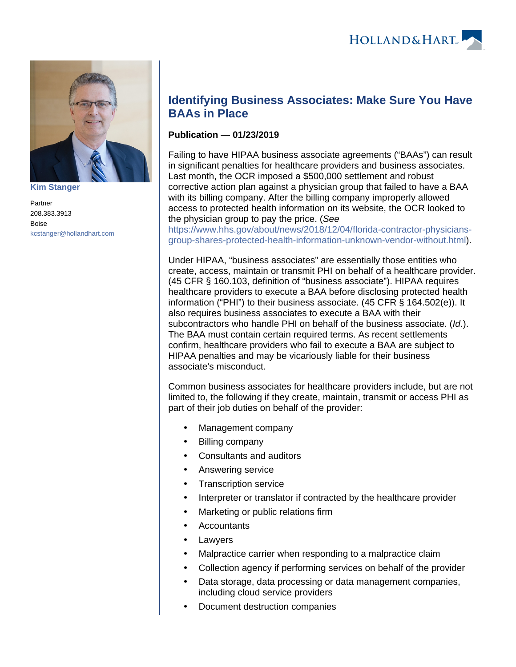

**[Kim Stanger](https://www.hollandhart.com/15954)**

Partner 208.383.3913 Boise [kcstanger@hollandhart.com](mailto:kcstanger@hollandhart.com)

## **Identifying Business Associates: Make Sure You Have BAAs in Place**

## **Publication — 01/23/2019**

Failing to have HIPAA business associate agreements ("BAAs") can result in significant penalties for healthcare providers and business associates. Last month, the OCR imposed a \$500,000 settlement and robust corrective action plan against a physician group that failed to have a BAA with its billing company. After the billing company improperly allowed access to protected health information on its website, the OCR looked to the physician group to pay the price. (See

[https://www.hhs.gov/about/news/2018/12/04/florida-contractor-physicians](https://www.hhs.gov/about/news/2018/12/04/florida-contractor-physicians-group-shares-protected-health-information-unknown-vendor-without.html)[group-shares-protected-health-information-unknown-vendor-without.html](https://www.hhs.gov/about/news/2018/12/04/florida-contractor-physicians-group-shares-protected-health-information-unknown-vendor-without.html)).

Under HIPAA, "business associates" are essentially those entities who create, access, maintain or transmit PHI on behalf of a healthcare provider. (45 CFR § 160.103, definition of "business associate"). HIPAA requires healthcare providers to execute a BAA before disclosing protected health information ("PHI") to their business associate. (45 CFR § 164.502(e)). It also requires business associates to execute a BAA with their subcontractors who handle PHI on behalf of the business associate. (Id.). The BAA must contain certain required terms. As recent settlements confirm, healthcare providers who fail to execute a BAA are subject to HIPAA penalties and may be vicariously liable for their business associate's misconduct.

Common business associates for healthcare providers include, but are not limited to, the following if they create, maintain, transmit or access PHI as part of their job duties on behalf of the provider:

- Management company
- Billing company
- Consultants and auditors
- Answering service
- Transcription service
- Interpreter or translator if contracted by the healthcare provider
- Marketing or public relations firm
- **Accountants**
- Lawyers
- Malpractice carrier when responding to a malpractice claim
- Collection agency if performing services on behalf of the provider
- Data storage, data processing or data management companies, including cloud service providers
- Document destruction companies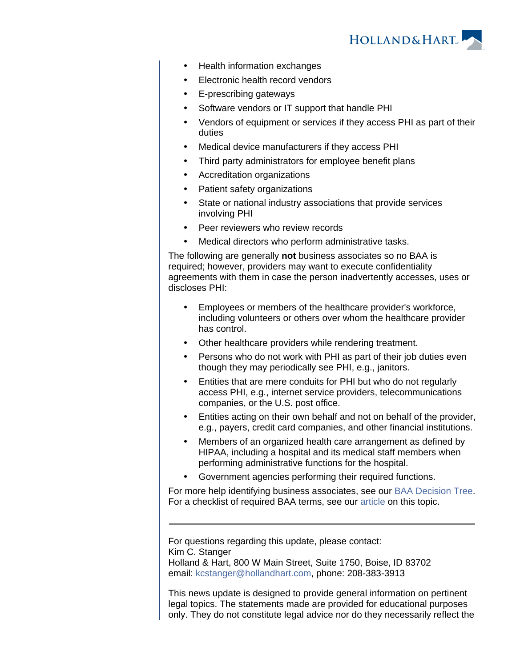

- Health information exchanges
- Electronic health record vendors
- E-prescribing gateways
- Software vendors or IT support that handle PHI
- Vendors of equipment or services if they access PHI as part of their duties
- Medical device manufacturers if they access PHI
- Third party administrators for employee benefit plans
- Accreditation organizations
- Patient safety organizations
- State or national industry associations that provide services involving PHI
- Peer reviewers who review records
- Medical directors who perform administrative tasks.

The following are generally **not** business associates so no BAA is required; however, providers may want to execute confidentiality agreements with them in case the person inadvertently accesses, uses or discloses PHI:

- Employees or members of the healthcare provider's workforce, including volunteers or others over whom the healthcare provider has control.
- Other healthcare providers while rendering treatment.
- Persons who do not work with PHI as part of their job duties even though they may periodically see PHI, e.g., janitors.
- Entities that are mere conduits for PHI but who do not regularly access PHI, e.g., internet service providers, telecommunications companies, or the U.S. post office.
- Entities acting on their own behalf and not on behalf of the provider, e.g., payers, credit card companies, and other financial institutions.
- Members of an organized health care arrangement as defined by HIPAA, including a hospital and its medical staff members when performing administrative functions for the hospital.
- Government agencies performing their required functions.

For more help identifying business associates, see our [BAA Decision Tree](https://www.hollandhart.com/pdf/Business_Associate_Decision_Tree.pdf). For a checklist of required BAA terms, see our [article](https://www.hollandhart.com/checklist_for_hipaa_business_associate_agreements) on this topic.

For questions regarding this update, please contact: Kim C. Stanger Holland & Hart, 800 W Main Street, Suite 1750, Boise, ID 83702 email: [kcstanger@hollandhart.com](mailto:kcstanger@hollandhart.com), phone: 208-383-3913

This news update is designed to provide general information on pertinent legal topics. The statements made are provided for educational purposes only. They do not constitute legal advice nor do they necessarily reflect the